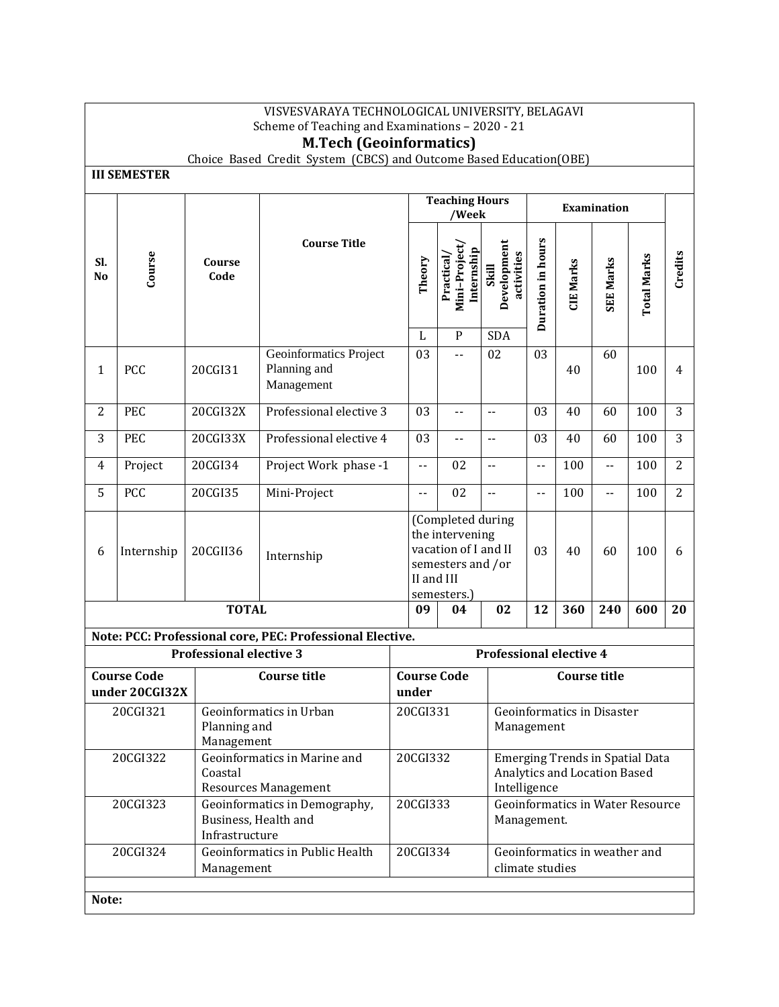|                                                                                    | VISVESVARAYA TECHNOLOGICAL UNIVERSITY, BELAGAVI<br>Scheme of Teaching and Examinations - 2020 - 21 |                                |                                                                                                    |                            |  |                                                                                                                |                                    |                            |                                         |                  |                    |                |
|------------------------------------------------------------------------------------|----------------------------------------------------------------------------------------------------|--------------------------------|----------------------------------------------------------------------------------------------------|----------------------------|--|----------------------------------------------------------------------------------------------------------------|------------------------------------|----------------------------|-----------------------------------------|------------------|--------------------|----------------|
|                                                                                    | <b>M.Tech (Geoinformatics)</b>                                                                     |                                |                                                                                                    |                            |  |                                                                                                                |                                    |                            |                                         |                  |                    |                |
|                                                                                    | Choice Based Credit System (CBCS) and Outcome Based Education(OBE)<br><b>III SEMESTER</b>          |                                |                                                                                                    |                            |  |                                                                                                                |                                    |                            |                                         |                  |                    |                |
|                                                                                    |                                                                                                    |                                |                                                                                                    |                            |  | <b>Teaching Hours</b>                                                                                          |                                    |                            |                                         | Examination      |                    |                |
| SI.<br>N <sub>0</sub>                                                              | Course                                                                                             | Course<br>Code                 | <b>Course Title</b>                                                                                | Theory                     |  | /Week<br>Mini-Project<br>Internship<br>Practical                                                               | Development<br>activities<br>Skill | Duration in hours          | <b>CIE Marks</b>                        | <b>SEE Marks</b> | <b>Total Marks</b> | Credits        |
|                                                                                    |                                                                                                    |                                |                                                                                                    | L                          |  | $\mathbf{P}$                                                                                                   | <b>SDA</b>                         |                            |                                         |                  |                    |                |
| 1                                                                                  | PCC                                                                                                | 20CGI31                        | Geoinformatics Project<br>Planning and<br>Management                                               | 03                         |  | --                                                                                                             | 02                                 | 03                         | 40                                      | 60               | 100                | 4              |
| $\overline{2}$                                                                     | PEC                                                                                                | 20CGI32X                       | Professional elective 3                                                                            | 03                         |  | $\overline{\phantom{a}}$                                                                                       | $-$                                | 03                         | 40                                      | 60               | 100                | 3              |
| 3                                                                                  | PEC                                                                                                | 20CGI33X                       | Professional elective 4                                                                            | 03                         |  | $\overline{\phantom{a}}$                                                                                       | $\overline{\phantom{a}}$ .         | 03                         | 40                                      | 60               | 100                | 3              |
| 4                                                                                  | Project                                                                                            | 20CGI34                        | Project Work phase -1                                                                              | $\overline{\phantom{a}}$ . |  | 02                                                                                                             | $\overline{\phantom{a}}$           | $\overline{\phantom{a}}$ . | 100                                     | Ц.               | 100                | $\overline{2}$ |
| 5                                                                                  | PCC                                                                                                | 20CGI35                        | Mini-Project                                                                                       | $\overline{\phantom{a}}$ . |  | 02                                                                                                             | $\overline{\phantom{a}}$ .         | $\overline{\phantom{a}}$ . | 100                                     | $-$              | 100                | $\overline{2}$ |
| 6                                                                                  | Internship                                                                                         | 20CGII36                       | Internship                                                                                         |                            |  | (Completed during<br>the intervening<br>vacation of I and II<br>semesters and /or<br>II and III<br>semesters.) |                                    | 03                         | 40                                      | 60               | 100                | 6              |
|                                                                                    |                                                                                                    | <b>TOTAL</b>                   |                                                                                                    | 09                         |  | 04                                                                                                             | 02                                 | 12                         | 360                                     | 240              | 600                | 20             |
|                                                                                    |                                                                                                    |                                | Note: PCC: Professional core, PEC: Professional Elective.                                          |                            |  |                                                                                                                |                                    |                            |                                         |                  |                    |                |
|                                                                                    |                                                                                                    | <b>Professional elective 3</b> |                                                                                                    |                            |  |                                                                                                                | <b>Professional elective 4</b>     |                            |                                         |                  |                    |                |
|                                                                                    | <b>Course Code</b><br>under 20CGI32X                                                               |                                | <b>Course title</b>                                                                                | under                      |  | <b>Course Code</b>                                                                                             | <b>Course title</b>                |                            |                                         |                  |                    |                |
| 20CGI321<br>Geoinformatics in Urban<br>Planning and<br>Management                  |                                                                                                    | 20CGI331                       |                                                                                                    |                            |  | <b>Geoinformatics in Disaster</b><br>Management                                                                |                                    |                            |                                         |                  |                    |                |
| Geoinformatics in Marine and<br>20CGI322<br>Coastal<br><b>Resources Management</b> |                                                                                                    |                                | 20CGI332<br><b>Emerging Trends in Spatial Data</b><br>Analytics and Location Based<br>Intelligence |                            |  |                                                                                                                |                                    |                            |                                         |                  |                    |                |
|                                                                                    | 20CGI323                                                                                           | Infrastructure                 | Geoinformatics in Demography,<br>Business, Health and                                              | 20CGI333                   |  |                                                                                                                | Management.                        |                            | <b>Geoinformatics in Water Resource</b> |                  |                    |                |
|                                                                                    | 20CGI324                                                                                           | Management                     | Geoinformatics in Public Health                                                                    | 20CGI334                   |  |                                                                                                                | climate studies                    |                            | Geoinformatics in weather and           |                  |                    |                |
| Note:                                                                              |                                                                                                    |                                |                                                                                                    |                            |  |                                                                                                                |                                    |                            |                                         |                  |                    |                |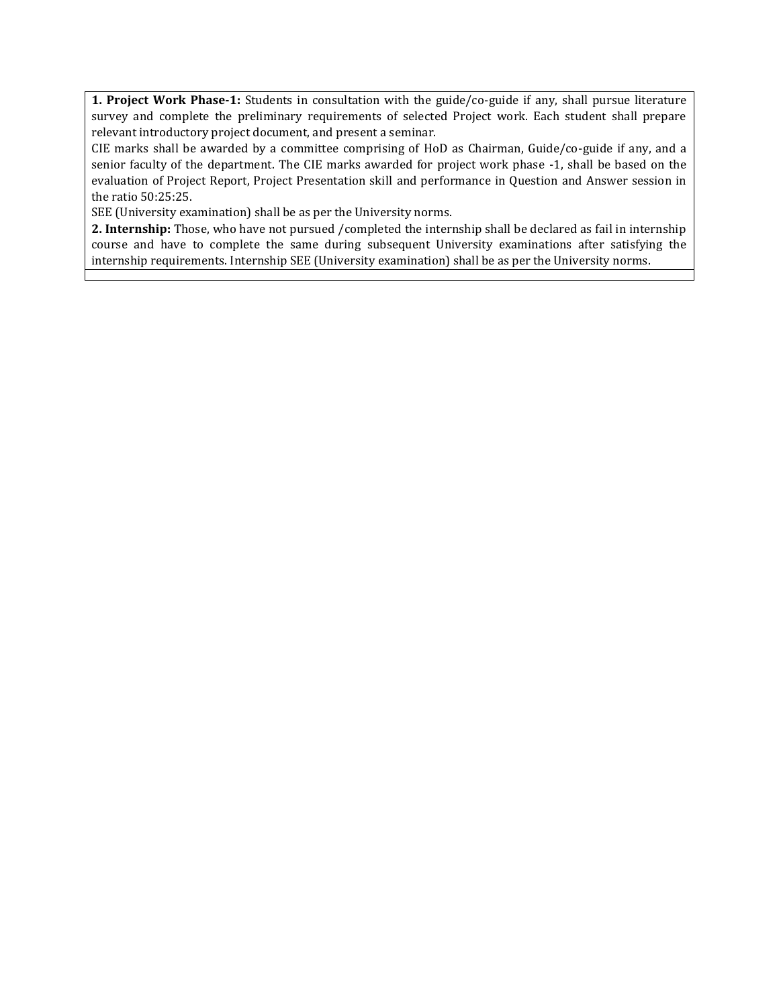**1. Project Work Phase-1:** Students in consultation with the guide/co-guide if any, shall pursue literature survey and complete the preliminary requirements of selected Project work. Each student shall prepare relevant introductory project document, and present a seminar.

CIE marks shall be awarded by a committee comprising of HoD as Chairman, Guide/co-guide if any, and a senior faculty of the department. The CIE marks awarded for project work phase -1, shall be based on the evaluation of Project Report, Project Presentation skill and performance in Question and Answer session in the ratio 50:25:25.

SEE (University examination) shall be as per the University norms.

**2. Internship:** Those, who have not pursued /completed the internship shall be declared as fail in internship course and have to complete the same during subsequent University examinations after satisfying the internship requirements. Internship SEE (University examination) shall be as per the University norms.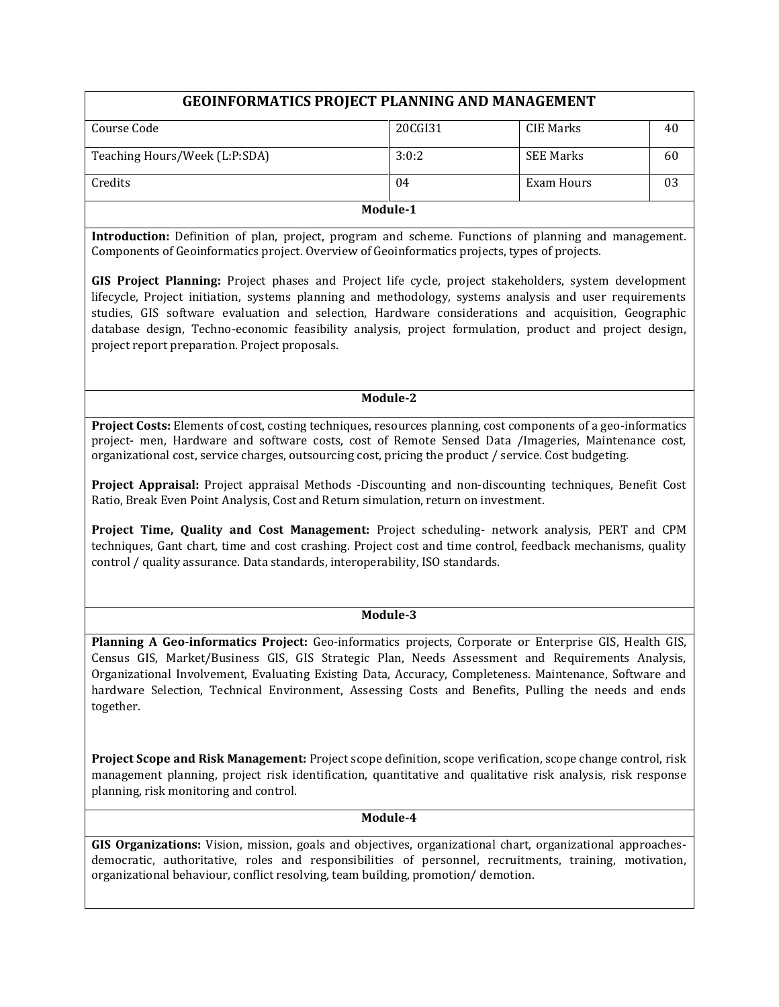# **GEOINFORMATICS PROJECT PLANNING AND MANAGEMENT**

| Module-1                      |         |                  |    |  |  |
|-------------------------------|---------|------------------|----|--|--|
| Credits                       | 04      | Exam Hours       | 03 |  |  |
| Teaching Hours/Week (L:P:SDA) | 3:0:2   | <b>SEE Marks</b> | 60 |  |  |
| Course Code                   | 20CGI31 | CIE Marks        | 40 |  |  |

**Introduction:** Definition of plan, project, program and scheme. Functions of planning and management. Components of Geoinformatics project. Overview of Geoinformatics projects, types of projects.

**GIS Project Planning:** Project phases and Project life cycle, project stakeholders, system development lifecycle, Project initiation, systems planning and methodology, systems analysis and user requirements studies, GIS software evaluation and selection, Hardware considerations and acquisition, Geographic database design, Techno-economic feasibility analysis, project formulation, product and project design, project report preparation. Project proposals.

## **Module-2**

**Project Costs:** Elements of cost, costing techniques, resources planning, cost components of a geo-informatics project- men, Hardware and software costs, cost of Remote Sensed Data /Imageries, Maintenance cost, organizational cost, service charges, outsourcing cost, pricing the product / service. Cost budgeting.

**Project Appraisal:** Project appraisal Methods -Discounting and non-discounting techniques, Benefit Cost Ratio, Break Even Point Analysis, Cost and Return simulation, return on investment.

**Project Time, Quality and Cost Management:** Project scheduling- network analysis, PERT and CPM techniques, Gant chart, time and cost crashing. Project cost and time control, feedback mechanisms, quality control / quality assurance. Data standards, interoperability, ISO standards.

## **Module-3**

**Planning A Geo-informatics Project:** Geo-informatics projects, Corporate or Enterprise GIS, Health GIS, Census GIS, Market/Business GIS, GIS Strategic Plan, Needs Assessment and Requirements Analysis, Organizational Involvement, Evaluating Existing Data, Accuracy, Completeness. Maintenance, Software and hardware Selection, Technical Environment, Assessing Costs and Benefits, Pulling the needs and ends together.

**Project Scope and Risk Management:** Project scope definition, scope verification, scope change control, risk management planning, project risk identification, quantitative and qualitative risk analysis, risk response planning, risk monitoring and control.

## **Module-4**

**GIS Organizations:** Vision, mission, goals and objectives, organizational chart, organizational approachesdemocratic, authoritative, roles and responsibilities of personnel, recruitments, training, motivation, organizational behaviour, conflict resolving, team building, promotion/ demotion.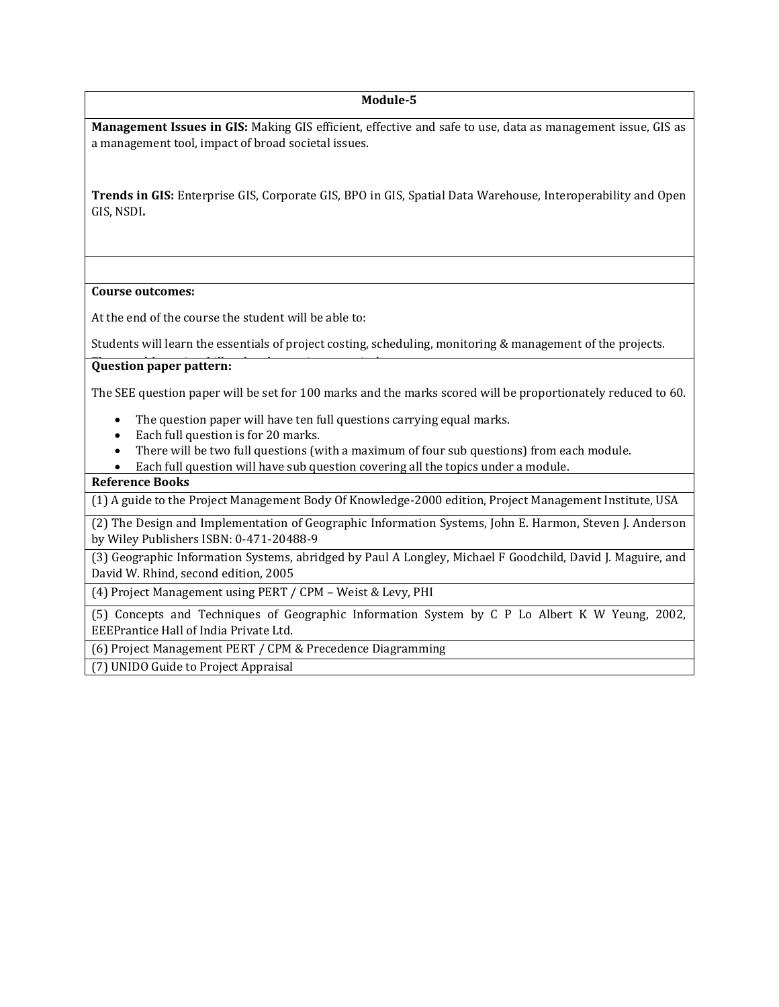#### **Module-5**

**Management Issues in GIS:** Making GIS efficient, effective and safe to use, data as management issue, GIS as a management tool, impact of broad societal issues.

**Trends in GIS:** Enterprise GIS, Corporate GIS, BPO in GIS, Spatial Data Warehouse, Interoperability and Open GIS, NSDI**.**

#### **Course outcomes:**

At the end of the course the student will be able to:

Students will learn the essentials of project costing, scheduling, monitoring & management of the projects.

#### **Question paper pattern:**

The SEE question paper will be set for 100 marks and the marks scored will be proportionately reduced to 60.

- The question paper will have ten full questions carrying equal marks.
- Each full question is for 20 marks.
- There will be two full questions (with a maximum of four sub questions) from each module.
- Each full question will have sub question covering all the topics under a module.

## **Reference Books**

(1) A guide to the Project Management Body Of Knowledge-2000 edition, Project Management Institute, USA

(2) The Design and Implementation of Geographic Information Systems, John E. Harmon, Steven J. Anderson by Wiley Publishers ISBN: 0-471-20488-9

(3) Geographic Information Systems, abridged by Paul A Longley, Michael F Goodchild, David J. Maguire, and David W. Rhind, second edition, 2005

(4) Project Management using PERT / CPM – Weist & Levy, PHI

(5) Concepts and Techniques of Geographic Information System by C P Lo Albert K W Yeung, 2002, EEEPrantice Hall of India Private Ltd.

(6) Project Management PERT / CPM & Precedence Diagramming

(7) UNIDO Guide to Project Appraisal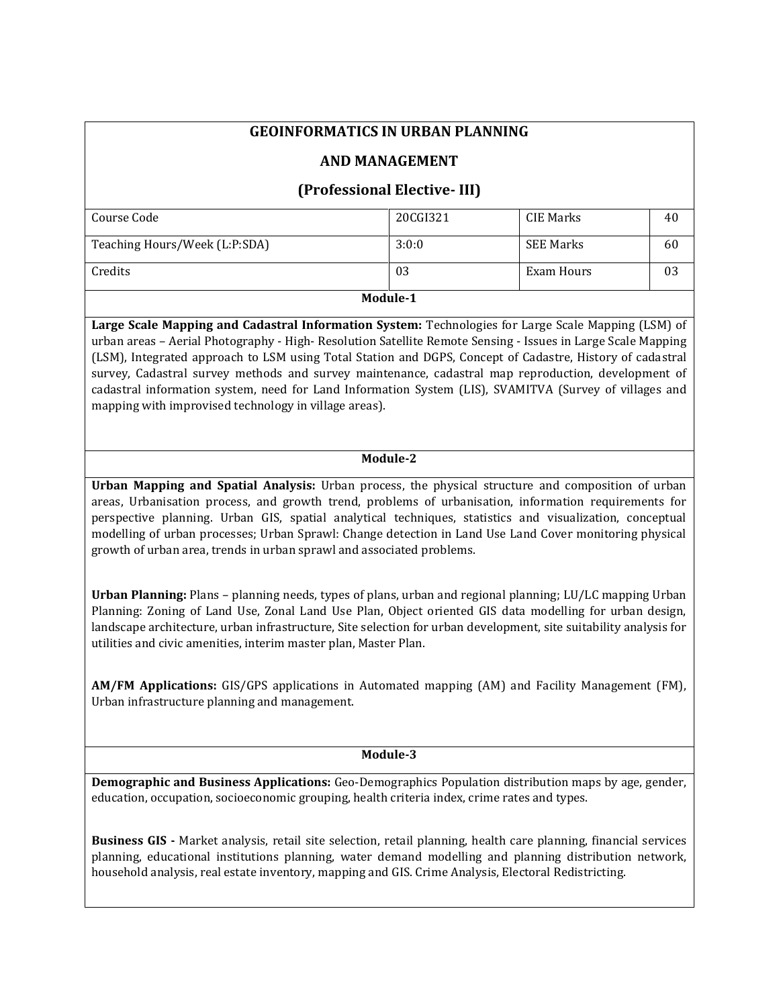# **GEOINFORMATICS IN URBAN PLANNING**

## **AND MANAGEMENT**

# **(Professional Elective- III)**

| Course Code                   | 20CGI321 | CIE Marks        | 40 |
|-------------------------------|----------|------------------|----|
|                               |          |                  |    |
|                               |          |                  |    |
| Teaching Hours/Week (L:P:SDA) | 3:0:0    | <b>SEE Marks</b> | 60 |
|                               |          |                  |    |
|                               |          |                  |    |
| Credits                       | 03       | Exam Hours       | 03 |
|                               |          |                  |    |
|                               |          |                  |    |
|                               | Module-1 |                  |    |
|                               |          |                  |    |

**Large Scale Mapping and Cadastral Information System:** Technologies for Large Scale Mapping (LSM) of urban areas – Aerial Photography - High- Resolution Satellite Remote Sensing - Issues in Large Scale Mapping (LSM), Integrated approach to LSM using Total Station and DGPS, Concept of Cadastre, History of cadastral survey, Cadastral survey methods and survey maintenance, cadastral map reproduction, development of cadastral information system, need for Land Information System (LIS), SVAMITVA (Survey of villages and mapping with improvised technology in village areas).

## **Module-2**

**Urban Mapping and Spatial Analysis:** Urban process, the physical structure and composition of urban areas, Urbanisation process, and growth trend, problems of urbanisation, information requirements for perspective planning. Urban GIS, spatial analytical techniques, statistics and visualization, conceptual modelling of urban processes; Urban Sprawl: Change detection in Land Use Land Cover monitoring physical growth of urban area, trends in urban sprawl and associated problems.

**Urban Planning:** Plans – planning needs, types of plans, urban and regional planning; LU/LC mapping Urban Planning: Zoning of Land Use, Zonal Land Use Plan, Object oriented GIS data modelling for urban design, landscape architecture, urban infrastructure, Site selection for urban development, site suitability analysis for utilities and civic amenities, interim master plan, Master Plan.

**AM/FM Applications:** GIS/GPS applications in Automated mapping (AM) and Facility Management (FM), Urban infrastructure planning and management.

**Module-3**

**Demographic and Business Applications:** Geo-Demographics Population distribution maps by age, gender, education, occupation, socioeconomic grouping, health criteria index, crime rates and types.

**Business GIS -** Market analysis, retail site selection, retail planning, health care planning, financial services planning, educational institutions planning, water demand modelling and planning distribution network, household analysis, real estate inventory, mapping and GIS. Crime Analysis, Electoral Redistricting.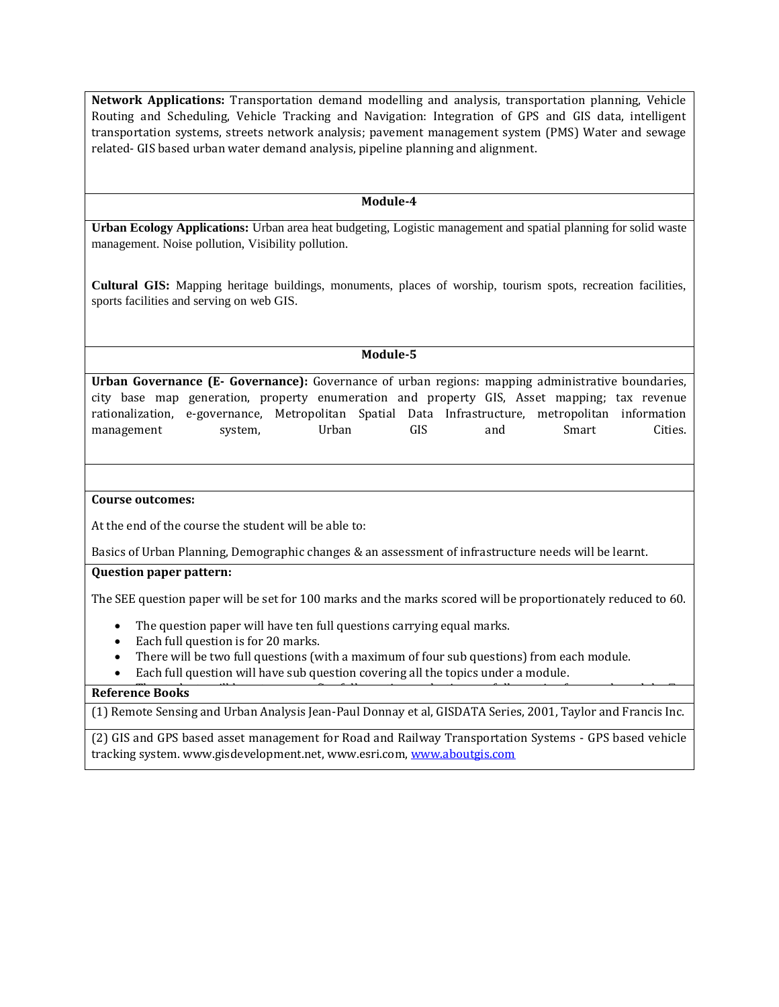**Network Applications:** Transportation demand modelling and analysis, transportation planning, Vehicle Routing and Scheduling, Vehicle Tracking and Navigation: Integration of GPS and GIS data, intelligent transportation systems, streets network analysis; pavement management system (PMS) Water and sewage related- GIS based urban water demand analysis, pipeline planning and alignment.

#### **Module-4**

**Urban Ecology Applications:** Urban area heat budgeting, Logistic management and spatial planning for solid waste management. Noise pollution, Visibility pollution.

**Cultural GIS:** Mapping heritage buildings, monuments, places of worship, tourism spots, recreation facilities, sports facilities and serving on web GIS.

## **Module-5**

**Urban Governance (E- Governance):** Governance of urban regions: mapping administrative boundaries, city base map generation, property enumeration and property GIS, Asset mapping; tax revenue rationalization, e-governance, Metropolitan Spatial Data Infrastructure, metropolitan information management system, Urban GIS and Smart Cities.

#### **Course outcomes:**

At the end of the course the student will be able to:

Basics of Urban Planning, Demographic changes & an assessment of infrastructure needs will be learnt.

#### **Question paper pattern:**

The SEE question paper will be set for 100 marks and the marks scored will be proportionately reduced to 60.

- The question paper will have ten full questions carrying equal marks.
- Each full question is for 20 marks.
- There will be two full questions (with a maximum of four sub questions) from each module.
- Each full question will have sub question covering all the topics under a module.

#### **Reference Books**

(1) Remote Sensing and Urban Analysis Jean-Paul Donnay et al, GISDATA Series, 2001, Taylor and Francis Inc.

(2) GIS and GPS based asset management for Road and Railway Transportation Systems - GPS based vehicle tracking system. www.gisdevelopment.net, www.esri.com, [www.aboutgis.com](http://www.aboutgis.com/)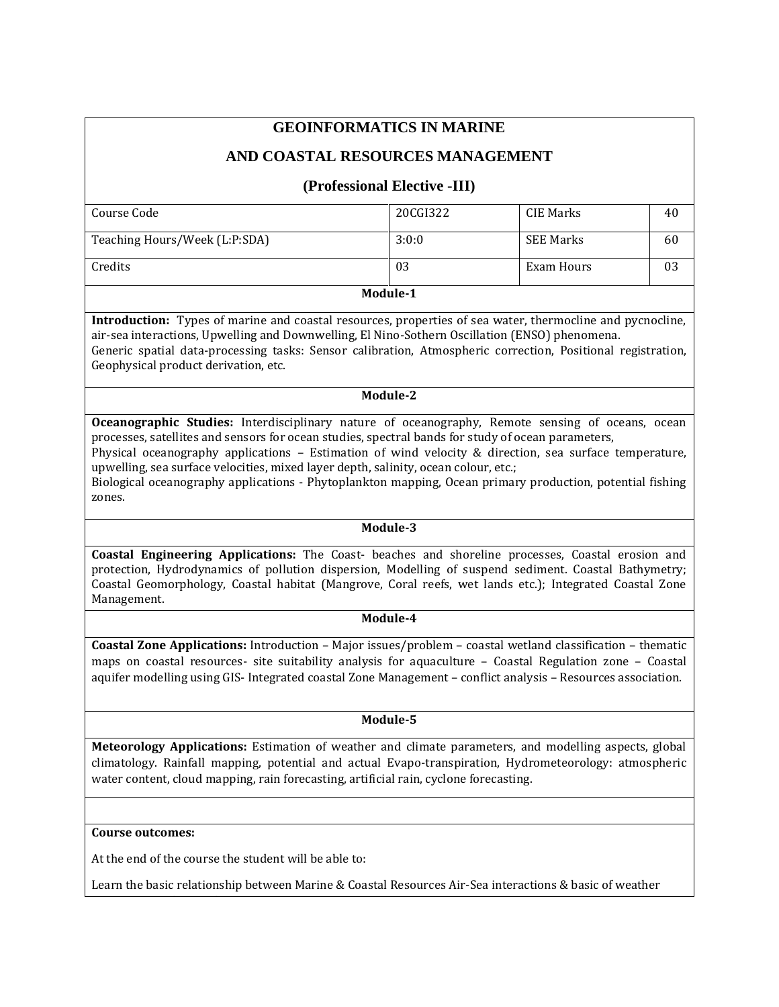# **GEOINFORMATICS IN MARINE**

## **AND COASTAL RESOURCES MANAGEMENT**

## **(Professional Elective -III)**

| Teaching Hours/Week (L:P:SDA) | 3:0:0 | <b>SEE Marks</b> | 60 |
|-------------------------------|-------|------------------|----|
| Credits                       | 03    | Exam Hours       | 03 |

**Module-1**

**Introduction:** Types of marine and coastal resources, properties of sea water, thermocline and pycnocline, air-sea interactions, Upwelling and Downwelling, El Nino-Sothern Oscillation (ENSO) phenomena.

Generic spatial data-processing tasks: Sensor calibration, Atmospheric correction, Positional registration, Geophysical product derivation, etc.

## **Module-2**

**Oceanographic Studies:** Interdisciplinary nature of oceanography, Remote sensing of oceans, ocean processes, satellites and sensors for ocean studies, spectral bands for study of ocean parameters,

Physical oceanography applications – Estimation of wind velocity & direction, sea surface temperature, upwelling, sea surface velocities, mixed layer depth, salinity, ocean colour, etc.;

Biological oceanography applications - Phytoplankton mapping, Ocean primary production, potential fishing zones.

#### **Module-3**

**Coastal Engineering Applications:** The Coast- beaches and shoreline processes, Coastal erosion and protection, Hydrodynamics of pollution dispersion, Modelling of suspend sediment. Coastal Bathymetry; Coastal Geomorphology, Coastal habitat (Mangrove, Coral reefs, wet lands etc.); Integrated Coastal Zone Management.

#### **Module-4**

**Coastal Zone Applications:** Introduction – Major issues/problem – coastal wetland classification – thematic maps on coastal resources- site suitability analysis for aquaculture – Coastal Regulation zone – Coastal aquifer modelling using GIS- Integrated coastal Zone Management – conflict analysis – Resources association.

#### **Module-5**

**Meteorology Applications:** Estimation of weather and climate parameters, and modelling aspects, global climatology. Rainfall mapping, potential and actual Evapo-transpiration, Hydrometeorology: atmospheric water content, cloud mapping, rain forecasting, artificial rain, cyclone forecasting.

#### **Course outcomes:**

monitoring & climate change.

At the end of the course the student will be able to:

Learn the basic relationship between Marine & Coastal Resources Air-Sea interactions & basic of weather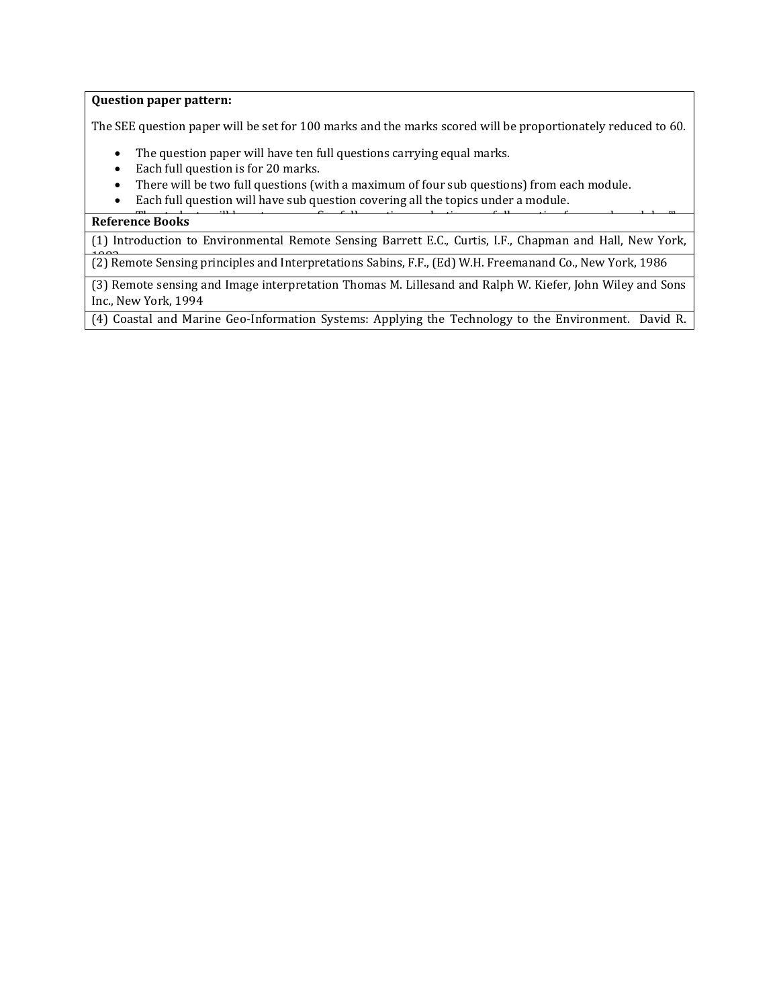#### **Question paper pattern:**

The SEE question paper will be set for 100 marks and the marks scored will be proportionately reduced to 60.

- The question paper will have ten full questions carrying equal marks.
- Each full question is for 20 marks.
- There will be two full questions (with a maximum of four sub questions) from each module.
- Each full question will have sub question covering all the topics under a module.

## **The Students Reference Books**

Green, Stephen D. King, 2003.

(1) Introduction to Environmental Remote Sensing Barrett E.C., Curtis, I.F., Chapman and Hall, New York,

<sup>1982</sup> (2) Remote Sensing principles and Interpretations Sabins, F.F., (Ed) W.H. Freemanand Co., New York, 1986

(3) Remote sensing and Image interpretation Thomas M. Lillesand and Ralph W. Kiefer, John Wiley and Sons Inc., New York, 1994

(4) Coastal and Marine Geo-Information Systems: Applying the Technology to the Environment. David R.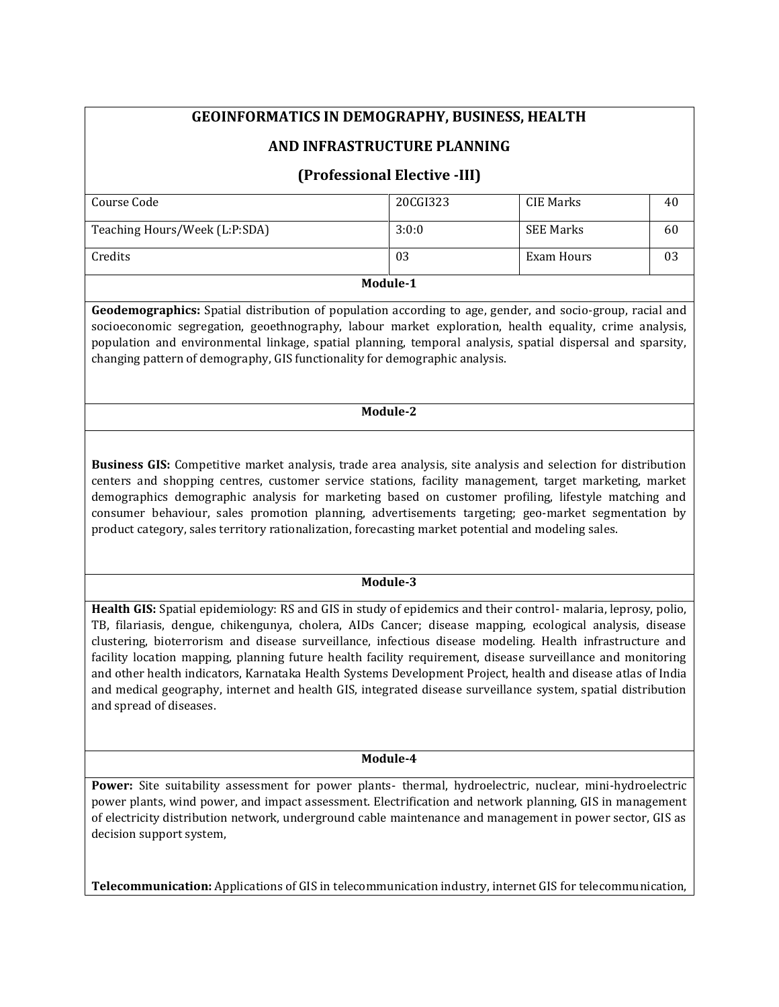# **GEOINFORMATICS IN DEMOGRAPHY, BUSINESS, HEALTH**

## **AND INFRASTRUCTURE PLANNING**

## **(Professional Elective -III)**

| Module-1                      |          |            |    |  |  |
|-------------------------------|----------|------------|----|--|--|
| Credits                       | 03       | Exam Hours | 03 |  |  |
| Teaching Hours/Week (L:P:SDA) | 3:0:0    | SEE Marks  | 60 |  |  |
| Course Code                   | 20CGI323 | CIE Marks  | 40 |  |  |
|                               |          |            |    |  |  |

**Geodemographics:** Spatial distribution of population according to age, gender, and socio-group, racial and socioeconomic segregation, geoethnography, labour market exploration, health equality, crime analysis, population and environmental linkage, spatial planning, temporal analysis, spatial dispersal and sparsity, changing pattern of demography, GIS functionality for demographic analysis.

#### **Module-2**

**Business GIS:** Competitive market analysis, trade area analysis, site analysis and selection for distribution centers and shopping centres, customer service stations, facility management, target marketing, market demographics demographic analysis for marketing based on customer profiling, lifestyle matching and consumer behaviour, sales promotion planning, advertisements targeting; geo-market segmentation by product category, sales territory rationalization, forecasting market potential and modeling sales.

#### **Module-3**

**Health GIS:** Spatial epidemiology: RS and GIS in study of epidemics and their control- malaria, leprosy, polio, TB, filariasis, dengue, chikengunya, cholera, AIDs Cancer; disease mapping, ecological analysis, disease clustering, bioterrorism and disease surveillance, infectious disease modeling. Health infrastructure and facility location mapping, planning future health facility requirement, disease surveillance and monitoring and other health indicators, Karnataka Health Systems Development Project, health and disease atlas of India and medical geography, internet and health GIS, integrated disease surveillance system, spatial distribution and spread of diseases.

#### **Module-4**

**Power:** Site suitability assessment for power plants- thermal, hydroelectric, nuclear, mini-hydroelectric power plants, wind power, and impact assessment. Electrification and network planning, GIS in management of electricity distribution network, underground cable maintenance and management in power sector, GIS as decision support system,

**Telecommunication:** Applications of GIS in telecommunication industry, internet GIS for telecommunication,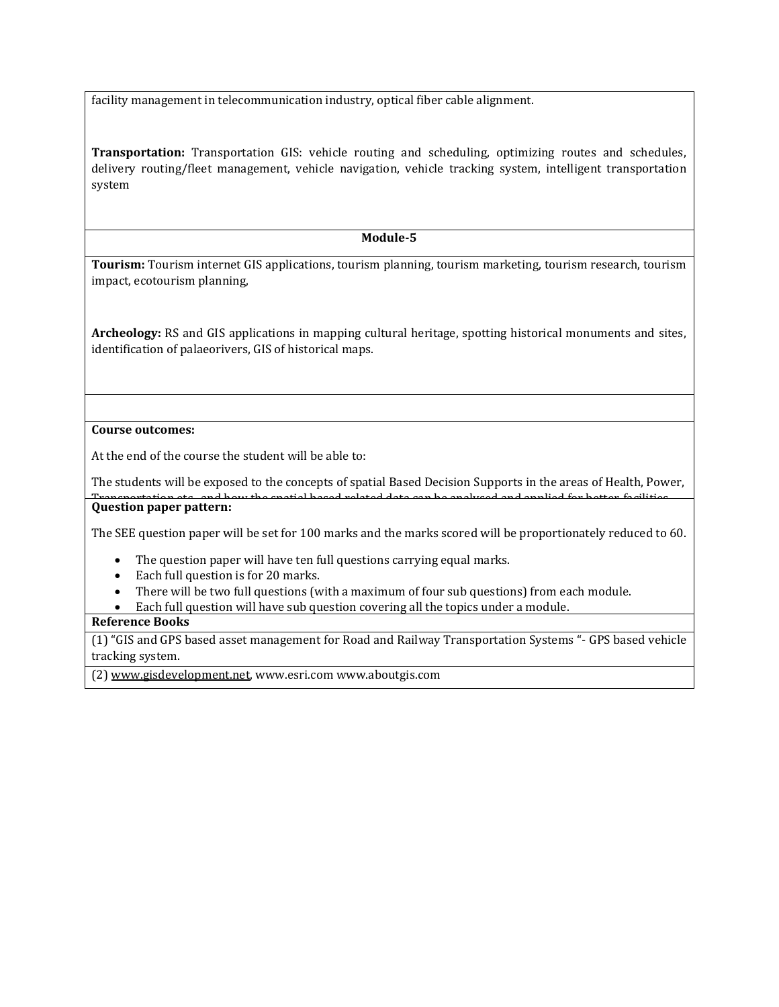facility management in telecommunication industry, optical fiber cable alignment.

**Transportation:** Transportation GIS: vehicle routing and scheduling, optimizing routes and schedules, delivery routing/fleet management, vehicle navigation, vehicle tracking system, intelligent transportation system

## **Module-5**

**Tourism:** Tourism internet GIS applications, tourism planning, tourism marketing, tourism research, tourism impact, ecotourism planning,

**Archeology:** RS and GIS applications in mapping cultural heritage, spotting historical monuments and sites, identification of palaeorivers, GIS of historical maps.

## **Course outcomes:**

At the end of the course the student will be able to:

The students will be exposed to the concepts of spatial Based Decision Supports in the areas of Health, Power, Transportation etc., and how the spatial based related data can be analysed and applied for better facilities. **Question paper pattern:**

The SEE question paper will be set for 100 marks and the marks scored will be proportionately reduced to 60.

- The question paper will have ten full questions carrying equal marks.
- Each full question is for 20 marks.
- There will be two full questions (with a maximum of four sub questions) from each module.
- Each full question will have sub question covering all the topics under a module.

## **Reference Books**

(1) "GIS and GPS based asset management for Road and Railway Transportation Systems "- GPS based vehicle tracking system.

(2) [www.gisdevelopment.net,](http://www.gisdevelopment.net/) www.esri.com www.aboutgis.com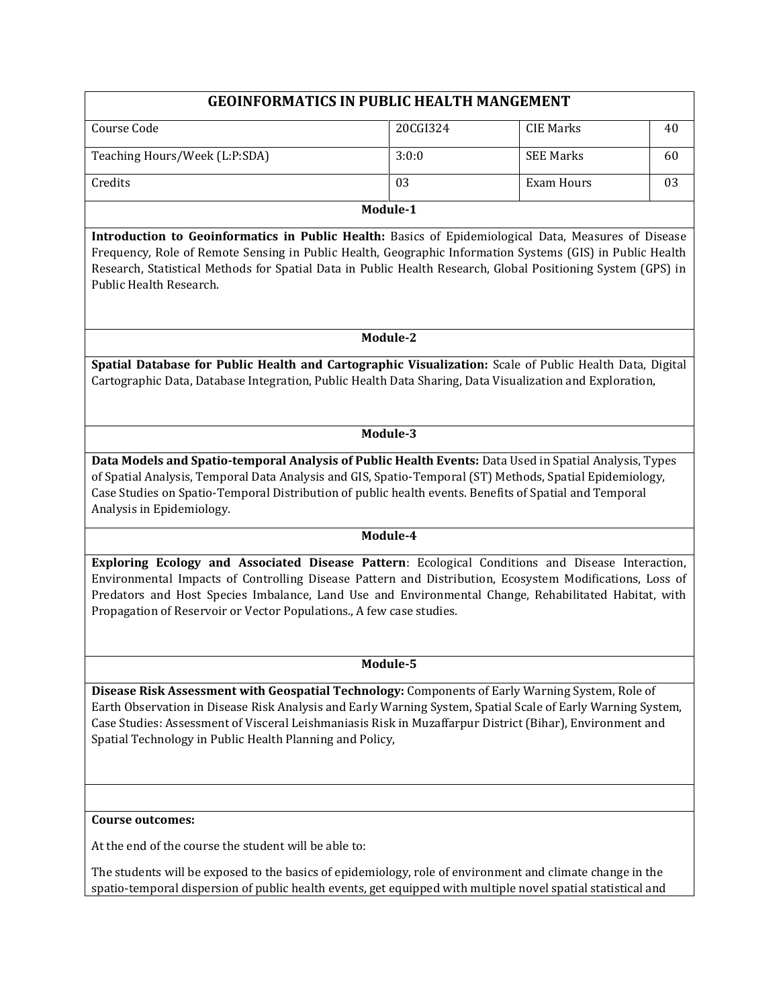| <b>GEOINFORMATICS IN PUBLIC HEALTH MANGEMENT</b>                                                                                                                                                                                                                                                                                                                                            |          |                   |    |  |
|---------------------------------------------------------------------------------------------------------------------------------------------------------------------------------------------------------------------------------------------------------------------------------------------------------------------------------------------------------------------------------------------|----------|-------------------|----|--|
| Course Code                                                                                                                                                                                                                                                                                                                                                                                 | 20CGI324 | <b>CIE Marks</b>  | 40 |  |
| Teaching Hours/Week (L:P:SDA)                                                                                                                                                                                                                                                                                                                                                               | 3:0:0    | <b>SEE Marks</b>  | 60 |  |
| Credits                                                                                                                                                                                                                                                                                                                                                                                     | 03       | <b>Exam Hours</b> | 03 |  |
|                                                                                                                                                                                                                                                                                                                                                                                             | Module-1 |                   |    |  |
| Introduction to Geoinformatics in Public Health: Basics of Epidemiological Data, Measures of Disease<br>Frequency, Role of Remote Sensing in Public Health, Geographic Information Systems (GIS) in Public Health<br>Research, Statistical Methods for Spatial Data in Public Health Research, Global Positioning System (GPS) in<br>Public Health Research.                                |          |                   |    |  |
|                                                                                                                                                                                                                                                                                                                                                                                             | Module-2 |                   |    |  |
| Spatial Database for Public Health and Cartographic Visualization: Scale of Public Health Data, Digital<br>Cartographic Data, Database Integration, Public Health Data Sharing, Data Visualization and Exploration,                                                                                                                                                                         |          |                   |    |  |
|                                                                                                                                                                                                                                                                                                                                                                                             | Module-3 |                   |    |  |
| Data Models and Spatio-temporal Analysis of Public Health Events: Data Used in Spatial Analysis, Types<br>of Spatial Analysis, Temporal Data Analysis and GIS, Spatio-Temporal (ST) Methods, Spatial Epidemiology,<br>Case Studies on Spatio-Temporal Distribution of public health events. Benefits of Spatial and Temporal<br>Analysis in Epidemiology.                                   |          |                   |    |  |
|                                                                                                                                                                                                                                                                                                                                                                                             | Module-4 |                   |    |  |
| Exploring Ecology and Associated Disease Pattern: Ecological Conditions and Disease Interaction,<br>Environmental Impacts of Controlling Disease Pattern and Distribution, Ecosystem Modifications, Loss of<br>Predators and Host Species Imbalance, Land Use and Environmental Change, Rehabilitated Habitat, with<br>Propagation of Reservoir or Vector Populations., A few case studies. |          |                   |    |  |
|                                                                                                                                                                                                                                                                                                                                                                                             | Module-5 |                   |    |  |
| Disease Risk Assessment with Geospatial Technology: Components of Early Warning System, Role of<br>Earth Observation in Disease Risk Analysis and Early Warning System, Spatial Scale of Early Warning System,<br>Case Studies: Assessment of Visceral Leishmaniasis Risk in Muzaffarpur District (Bihar), Environment and<br>Spatial Technology in Public Health Planning and Policy,      |          |                   |    |  |
|                                                                                                                                                                                                                                                                                                                                                                                             |          |                   |    |  |
| <b>Course outcomes:</b>                                                                                                                                                                                                                                                                                                                                                                     |          |                   |    |  |
| At the end of the course the student will be able to:                                                                                                                                                                                                                                                                                                                                       |          |                   |    |  |

The students will be exposed to the basics of epidemiology, role of environment and climate change in the spatio-temporal dispersion of public health events, get equipped with multiple novel spatial statistical and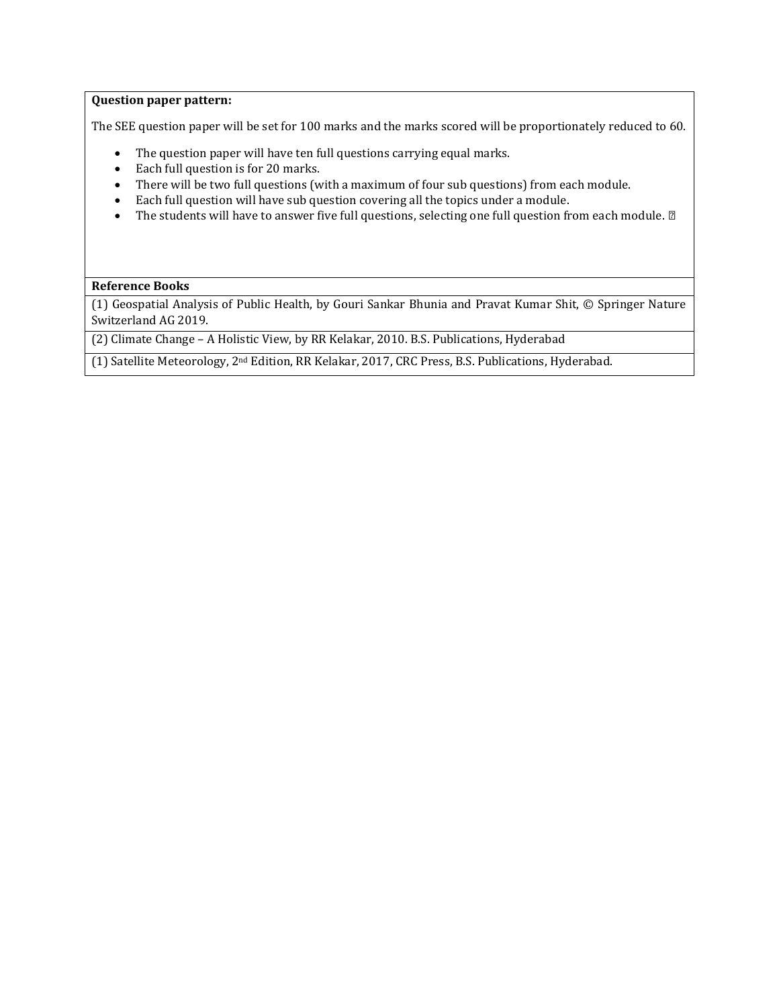#### **Question paper pattern:**

The SEE question paper will be set for 100 marks and the marks scored will be proportionately reduced to 60.

- The question paper will have ten full questions carrying equal marks.
- Each full question is for 20 marks.
- There will be two full questions (with a maximum of four sub questions) from each module.
- Each full question will have sub question covering all the topics under a module.
- The students will have to answer five full questions, selecting one full question from each module. *∎*

#### **Reference Books**

(1) Geospatial Analysis of Public Health, by Gouri Sankar Bhunia and Pravat Kumar Shit, © Springer Nature Switzerland AG 2019.

(2) Climate Change – A Holistic View, by RR Kelakar, 2010. B.S. Publications, Hyderabad

(1) Satellite Meteorology, 2nd Edition, RR Kelakar, 2017, CRC Press, B.S. Publications, Hyderabad.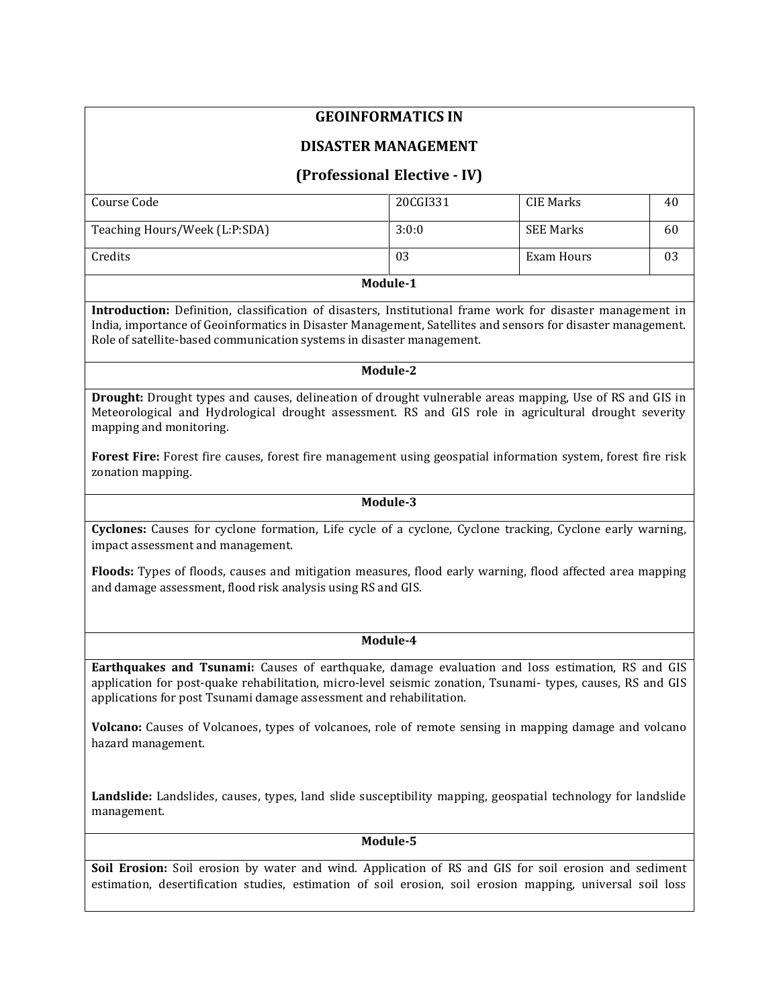# **GEOINFORMATICS IN**

## **DISASTER MANAGEMENT**

# **(Professional Elective - IV)**

| Course Code                   | 20CGI331 | CIE Marks        | 40 |
|-------------------------------|----------|------------------|----|
| Teaching Hours/Week (L:P:SDA) | 3:0:0    | <b>SEE Marks</b> | 60 |
| Credits                       | 03       | Exam Hours       | 03 |

#### **Module-1**

**Introduction:** Definition, classification of disasters, Institutional frame work for disaster management in India, importance of Geoinformatics in Disaster Management, Satellites and sensors for disaster management. Role of satellite-based communication systems in disaster management.

### **Module-2**

**Drought:** Drought types and causes, delineation of drought vulnerable areas mapping, Use of RS and GIS in Meteorological and Hydrological drought assessment. RS and GIS role in agricultural drought severity mapping and monitoring.

**Forest Fire:** Forest fire causes, forest fire management using geospatial information system, forest fire risk zonation mapping.

#### **Module-3**

**Cyclones:** Causes for cyclone formation, Life cycle of a cyclone, Cyclone tracking, Cyclone early warning, impact assessment and management.

**Floods:** Types of floods, causes and mitigation measures, flood early warning, flood affected area mapping and damage assessment, flood risk analysis using RS and GIS.

## **Module-4**

**Earthquakes and Tsunami:** Causes of earthquake, damage evaluation and loss estimation, RS and GIS application for post-quake rehabilitation, micro-level seismic zonation, Tsunami- types, causes, RS and GIS applications for post Tsunami damage assessment and rehabilitation.

**Volcano:** Causes of Volcanoes, types of volcanoes, role of remote sensing in mapping damage and volcano hazard management.

**Landslide:** Landslides, causes, types, land slide susceptibility mapping, geospatial technology for landslide management.

## **Module-5**

**Soil Erosion:** Soil erosion by water and wind. Application of RS and GIS for soil erosion and sediment estimation, desertification studies, estimation of soil erosion, soil erosion mapping, universal soil loss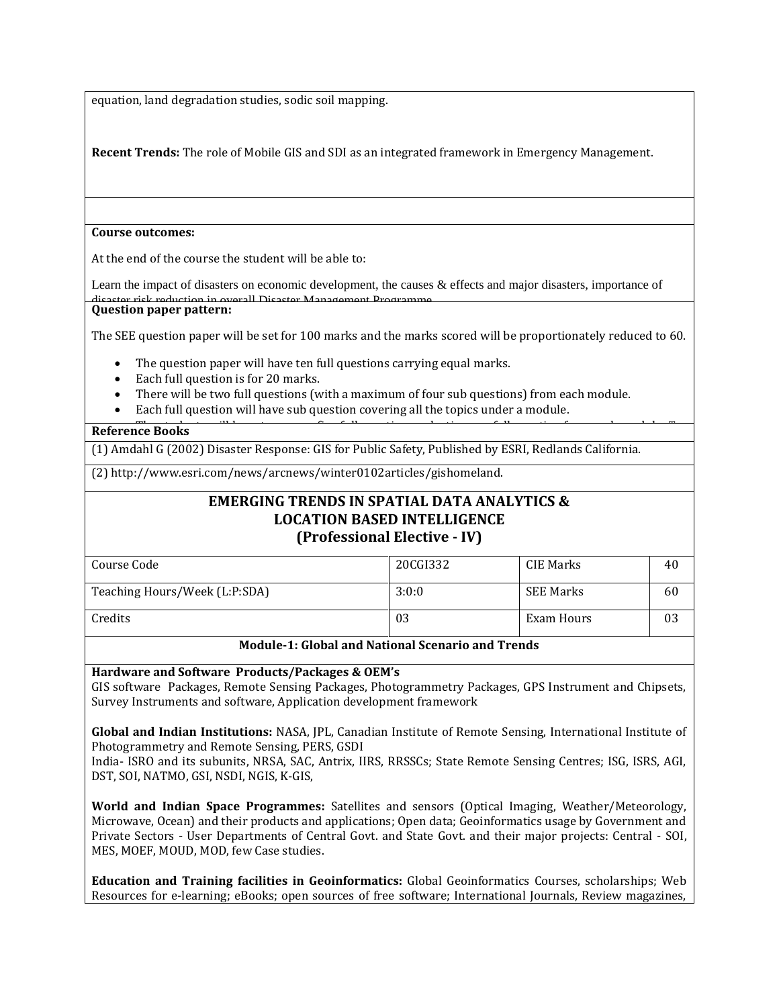equation, land degradation studies, sodic soil mapping.

**Recent Trends:** The role of Mobile GIS and SDI as an integrated framework in Emergency Management.

#### **Course outcomes:**

At the end of the course the student will be able to:

Learn the impact of disasters on economic development, the causes & effects and major disasters, importance of ick reduction in overall Disaster Management Programme **Question paper pattern:**

The SEE question paper will be set for 100 marks and the marks scored will be proportionately reduced to 60.

- The question paper will have ten full questions carrying equal marks.
- Each full question is for 20 marks.
- There will be two full questions (with a maximum of four sub questions) from each module.
- Each full question will have sub question covering all the topics under a module.

#### **Reference Books**

(1) Amdahl G (2002) Disaster Response: GIS for Public Safety, Published by ESRI, Redlands California.

(2) http://www.esri.com/news/arcnews/winter0102articles/gishomeland.

# **EMERGING TRENDS IN SPATIAL DATA ANALYTICS & LOCATION BASED INTELLIGENCE (Professional Elective - IV)**

| Course Code                   | 20CGI332 | <b>CIE Marks</b> | 40 |
|-------------------------------|----------|------------------|----|
|                               |          |                  |    |
| Teaching Hours/Week (L:P:SDA) | 3:0:0    | <b>SEE Marks</b> | 60 |
| Credits                       | 03       | Exam Hours       | 03 |

## **Module-1: Global and National Scenario and Trends**

#### **Hardware and Software Products/Packages & OEM's**

GIS software Packages, Remote Sensing Packages, Photogrammetry Packages, GPS Instrument and Chipsets, Survey Instruments and software, Application development framework

**Global and Indian Institutions:** NASA, JPL, Canadian Institute of Remote Sensing, International Institute of Photogrammetry and Remote Sensing, PERS, GSDI

India- ISRO and its subunits, NRSA, SAC, Antrix, IIRS, RRSSCs; State Remote Sensing Centres; ISG, ISRS, AGI, DST, SOI, NATMO, GSI, NSDI, NGIS, K-GIS,

**World and Indian Space Programmes:** Satellites and sensors (Optical Imaging, Weather/Meteorology, Microwave, Ocean) and their products and applications; Open data; Geoinformatics usage by Government and Private Sectors - User Departments of Central Govt. and State Govt. and their major projects: Central - SOI, MES, MOEF, MOUD, MOD, few Case studies.

**Education and Training facilities in Geoinformatics:** Global Geoinformatics Courses, scholarships; Web Resources for e-learning; eBooks; open sources of free software; International Journals, Review magazines,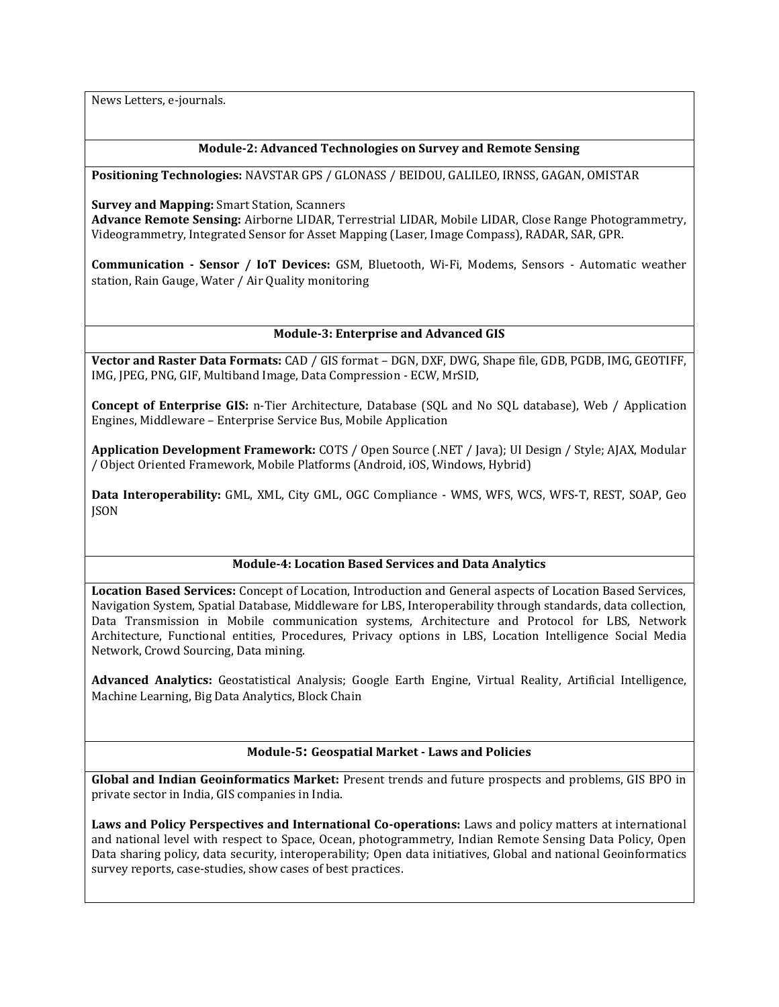News Letters, e-journals.

## **Module-2: Advanced Technologies on Survey and Remote Sensing**

**Positioning Technologies:** NAVSTAR GPS / GLONASS / BEIDOU, GALILEO, IRNSS, GAGAN, OMISTAR

**Survey and Mapping:** Smart Station, Scanners

**Advance Remote Sensing:** Airborne LIDAR, Terrestrial LIDAR, Mobile LIDAR, Close Range Photogrammetry, Videogrammetry, Integrated Sensor for Asset Mapping (Laser, Image Compass), RADAR, SAR, GPR.

**Communication - Sensor / IoT Devices:** GSM, Bluetooth, Wi-Fi, Modems, Sensors - Automatic weather station, Rain Gauge, Water / Air Quality monitoring

## **Module-3: Enterprise and Advanced GIS**

**Vector and Raster Data Formats:** CAD / GIS format – DGN, DXF, DWG, Shape file, GDB, PGDB, IMG, GEOTIFF, IMG, JPEG, PNG, GIF, Multiband Image, Data Compression - ECW, MrSID,

**Concept of Enterprise GIS:** n-Tier Architecture, Database (SQL and No SQL database), Web / Application Engines, Middleware – Enterprise Service Bus, Mobile Application

**Application Development Framework:** COTS / Open Source (.NET / Java); UI Design / Style; AJAX, Modular / Object Oriented Framework, Mobile Platforms (Android, iOS, Windows, Hybrid)

**Data Interoperability:** GML, XML, City GML, OGC Compliance - WMS, WFS, WCS, WFS-T, REST, SOAP, Geo **ISON** 

#### **Module-4: Location Based Services and Data Analytics**

**Location Based Services:** Concept of Location, Introduction and General aspects of Location Based Services, Navigation System, Spatial Database, Middleware for LBS, Interoperability through standards, data collection, Data Transmission in Mobile communication systems, Architecture and Protocol for LBS, Network Architecture, Functional entities, Procedures, Privacy options in LBS, Location Intelligence Social Media Network, Crowd Sourcing, Data mining.

**Advanced Analytics:** Geostatistical Analysis; Google Earth Engine, Virtual Reality, Artificial Intelligence, Machine Learning, Big Data Analytics, Block Chain

## **Module-5: Geospatial Market - Laws and Policies**

**Global and Indian Geoinformatics Market:** Present trends and future prospects and problems, GIS BPO in private sector in India, GIS companies in India.

**Laws and Policy Perspectives and International Co-operations:** Laws and policy matters at international and national level with respect to Space, Ocean, photogrammetry, Indian Remote Sensing Data Policy, Open Data sharing policy, data security, interoperability; Open data initiatives, Global and national Geoinformatics survey reports, case-studies, show cases of best practices.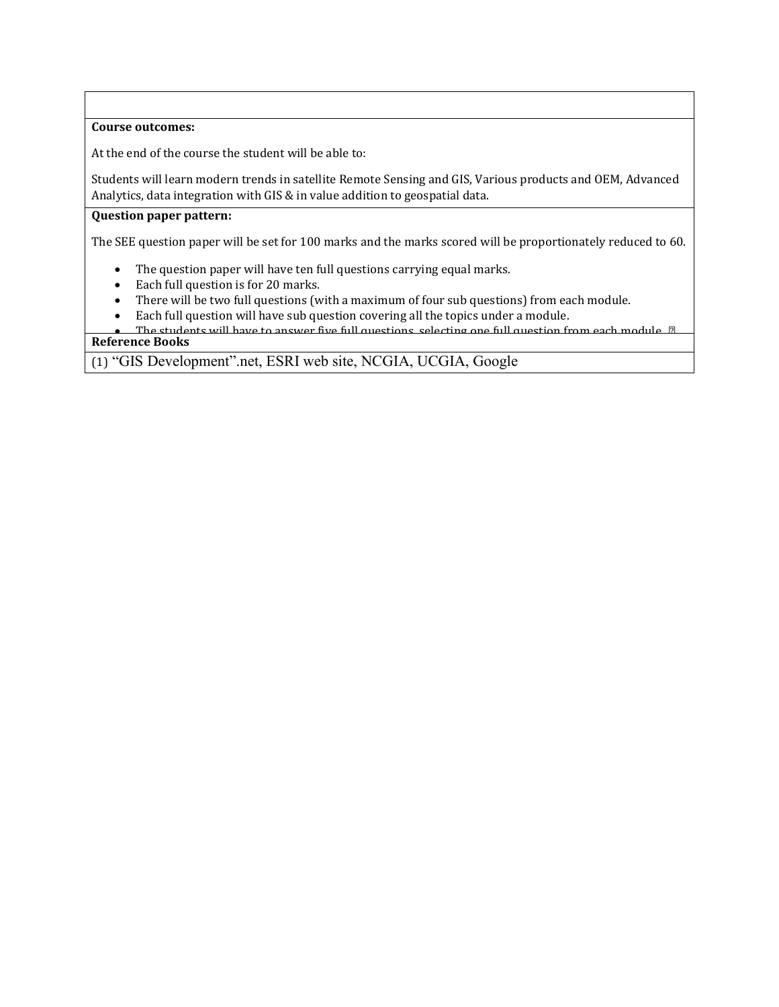## **Course outcomes:**

At the end of the course the student will be able to:

Students will learn modern trends in satellite Remote Sensing and GIS, Various products and OEM, Advanced Analytics, data integration with GIS & in value addition to geospatial data.

#### **Question paper pattern:**

The SEE question paper will be set for 100 marks and the marks scored will be proportionately reduced to 60.

- The question paper will have ten full questions carrying equal marks.
- Each full question is for 20 marks.

Earth, Yahoo Maps, NASA web site, ISRO website.

- There will be two full questions (with a maximum of four sub questions) from each module.
- Each full question will have sub question covering all the topics under a module.
- The students will have to answer five full questions, selecting one full question from each module. *∎* **Reference Books**

(1) "GIS Development".net, ESRI web site, NCGIA, UCGIA, Google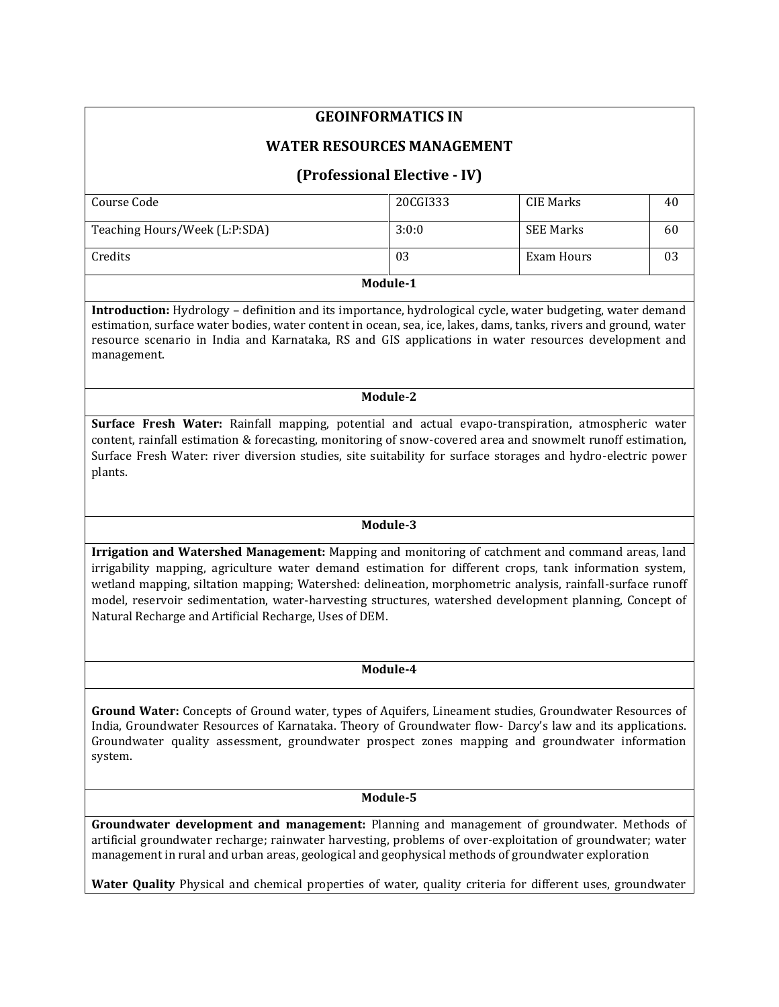# **GEOINFORMATICS IN**

## **WATER RESOURCES MANAGEMENT**

# **(Professional Elective - IV)**

| Module-1                      |          |            |    |  |
|-------------------------------|----------|------------|----|--|
| Credits                       | 03       | Exam Hours | 03 |  |
| Teaching Hours/Week (L:P:SDA) | 3:0:0    | SEE Marks  | 60 |  |
| Course Code                   | 20CGI333 | CIE Marks  | 40 |  |
|                               |          |            |    |  |

**Introduction:** Hydrology – definition and its importance, hydrological cycle, water budgeting, water demand estimation, surface water bodies, water content in ocean, sea, ice, lakes, dams, tanks, rivers and ground, water resource scenario in India and Karnataka, RS and GIS applications in water resources development and management.

#### **Module-2**

**Surface Fresh Water:** Rainfall mapping, potential and actual evapo-transpiration, atmospheric water content, rainfall estimation & forecasting, monitoring of snow-covered area and snowmelt runoff estimation, Surface Fresh Water: river diversion studies, site suitability for surface storages and hydro-electric power plants.

## **Module-3**

**Irrigation and Watershed Management:** Mapping and monitoring of catchment and command areas, land irrigability mapping, agriculture water demand estimation for different crops, tank information system, wetland mapping, siltation mapping; Watershed: delineation, morphometric analysis, rainfall-surface runoff model, reservoir sedimentation, water-harvesting structures, watershed development planning, Concept of Natural Recharge and Artificial Recharge, Uses of DEM.

#### **Module-4**

**Ground Water:** Concepts of Ground water, types of Aquifers, Lineament studies, Groundwater Resources of India, Groundwater Resources of Karnataka. Theory of Groundwater flow- Darcy's law and its applications. Groundwater quality assessment, groundwater prospect zones mapping and groundwater information system.

#### **Module-5**

**Groundwater development and management:** Planning and management of groundwater. Methods of artificial groundwater recharge; rainwater harvesting, problems of over-exploitation of groundwater; water management in rural and urban areas, geological and geophysical methods of groundwater exploration

**Water Quality** Physical and chemical properties of water, quality criteria for different uses, groundwater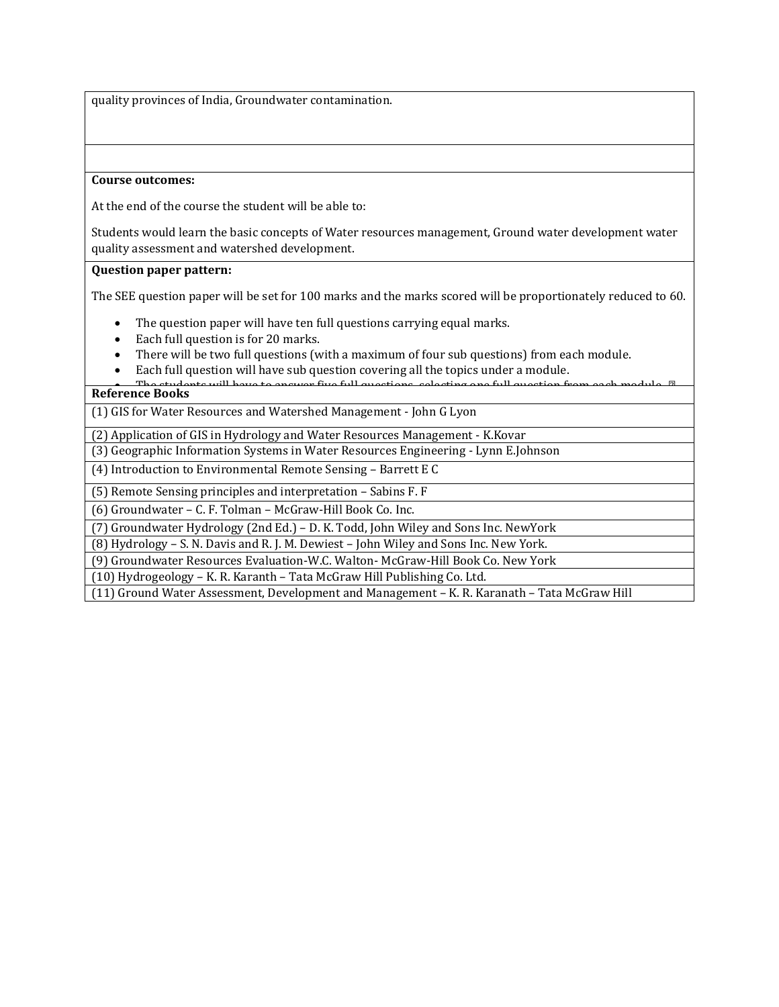quality provinces of India, Groundwater contamination.

#### **Course outcomes:**

At the end of the course the student will be able to:

Students would learn the basic concepts of Water resources management, Ground water development water quality assessment and watershed development.

#### **Question paper pattern:**

The SEE question paper will be set for 100 marks and the marks scored will be proportionately reduced to 60.

- The question paper will have ten full questions carrying equal marks.
- Each full question is for 20 marks.
- There will be two full questions (with a maximum of four sub questions) from each module.
- Each full question will have sub question covering all the topics under a module.
- The students will have to answer five full questions, selecting one full question from each module. *∎* **Reference Books**

(1) GIS for Water Resources and Watershed Management - John G Lyon

(2) Application of GIS in Hydrology and Water Resources Management - K.Kovar

(3) Geographic Information Systems in Water Resources Engineering - Lynn E.Johnson

(4) Introduction to Environmental Remote Sensing – Barrett E C

(5) Remote Sensing principles and interpretation – Sabins F. F

(6) Groundwater – C. F. Tolman – McGraw-Hill Book Co. Inc.

(7) Groundwater Hydrology (2nd Ed.) – D. K. Todd, John Wiley and Sons Inc. NewYork

(8) Hydrology – S. N. Davis and R. J. M. Dewiest – John Wiley and Sons Inc. New York.

(9) Groundwater Resources Evaluation-W.C. Walton- McGraw-Hill Book Co. New York

(10) Hydrogeology – K. R. Karanth – Tata McGraw Hill Publishing Co. Ltd.

(11) Ground Water Assessment, Development and Management – K. R. Karanath – Tata McGraw Hill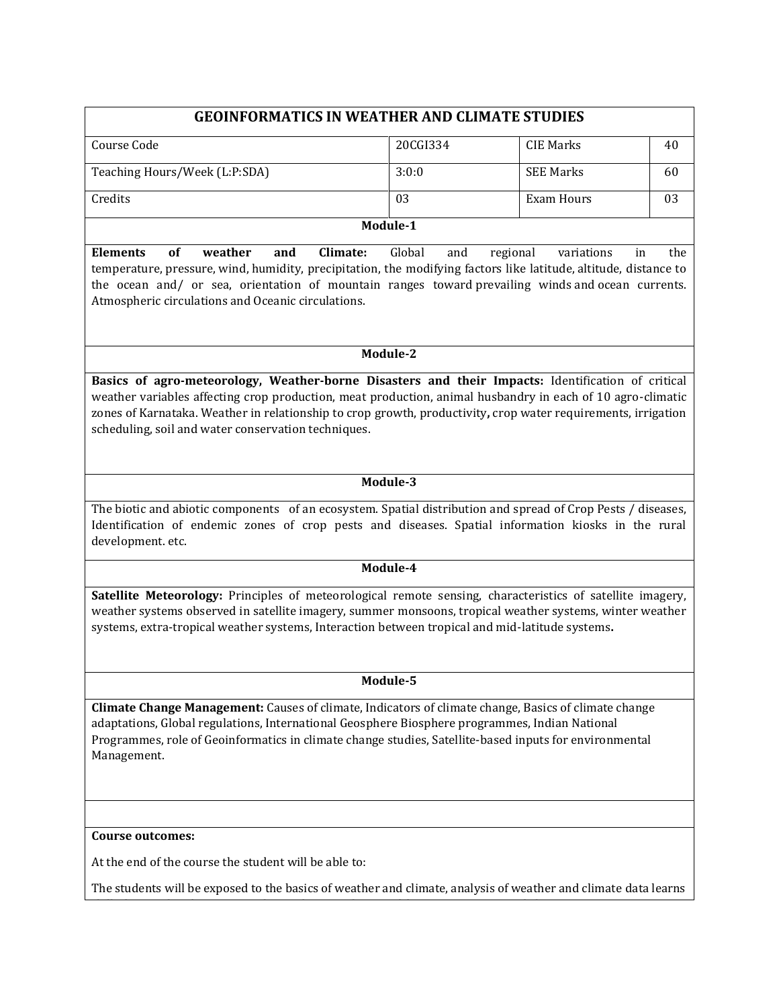# **GEOINFORMATICS IN WEATHER AND CLIMATE STUDIES**

| Course Code                   | 20CGI334 | CIE Marks        | 4U |
|-------------------------------|----------|------------------|----|
|                               |          |                  |    |
| Teaching Hours/Week (L:P:SDA) | 3:0:0    | <b>SEE Marks</b> | 60 |
|                               |          |                  |    |
| Credits                       | 03       | Exam Hours       | 03 |
|                               |          |                  |    |
|                               | Module-1 |                  |    |

**Elements of weather and Climate:** Global and regional variations in the temperature, pressure, wind, humidity, precipitation, the modifying factors like latitude, altitude, distance to the ocean and/ or sea, orientation of mountain ranges toward prevailing winds and ocean currents. Atmospheric circulations and Oceanic circulations.

## **Module-2**

**Basics of agro-meteorology, Weather-borne Disasters and their Impacts:** Identification of critical weather variables affecting crop production, meat production, animal husbandry in each of 10 agro-climatic zones of Karnataka. Weather in relationship to crop growth, productivity**,** crop water requirements, irrigation scheduling, soil and water conservation techniques.

## **Module-3**

The biotic and abiotic components of an ecosystem. Spatial distribution and spread of Crop Pests / diseases, Identification of endemic zones of crop pests and diseases. Spatial information kiosks in the rural development. etc.

#### **Module-4**

**Satellite Meteorology:** Principles of meteorological remote sensing, characteristics of satellite imagery, weather systems observed in satellite imagery, summer monsoons, tropical weather systems, winter weather systems, extra-tropical weather systems, Interaction between tropical and mid-latitude systems**.**

#### **Module-5**

**Climate Change Management:** Causes of climate, Indicators of climate change, Basics of climate change adaptations, Global regulations, International Geosphere Biosphere programmes, Indian National Programmes, role of Geoinformatics in climate change studies, Satellite-based inputs for environmental Management.

#### **Course outcomes:**

At the end of the course the student will be able to:

The students will be exposed to the basics of weather and climate, analysis of weather and climate data learns skills for weather forecasting relevant for agriculture and farm management and climate impact management.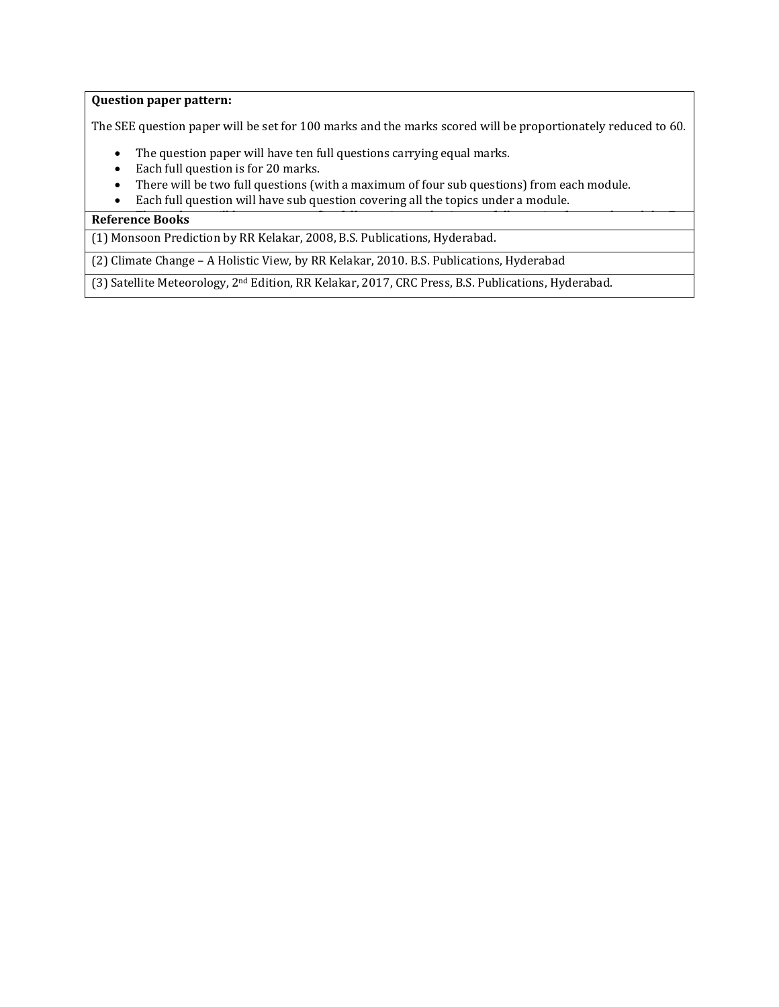## **Question paper pattern:**

The SEE question paper will be set for 100 marks and the marks scored will be proportionately reduced to 60.

- The question paper will have ten full questions carrying equal marks.
- Each full question is for 20 marks.
- There will be two full questions (with a maximum of four sub questions) from each module.
- Each full question will have sub question covering all the topics under a module.

## **Reference Books**

(1) Monsoon Prediction by RR Kelakar, 2008, B.S. Publications, Hyderabad.

(2) Climate Change – A Holistic View, by RR Kelakar, 2010. B.S. Publications, Hyderabad

(3) Satellite Meteorology, 2nd Edition, RR Kelakar, 2017, CRC Press, B.S. Publications, Hyderabad.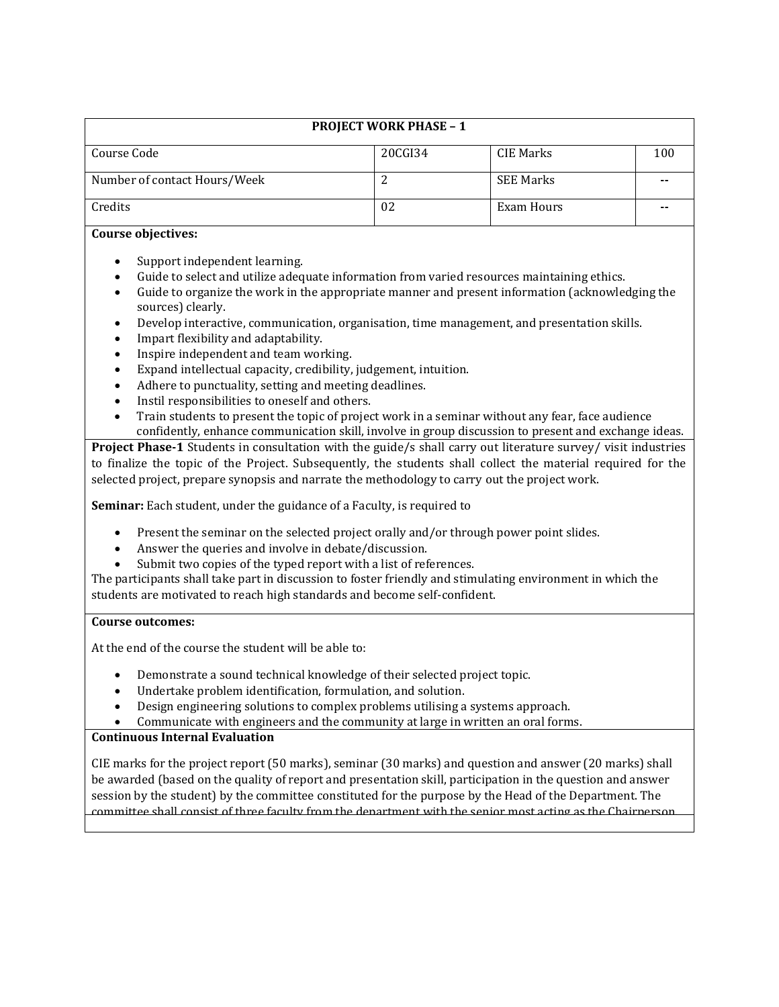|                              | <b>PROJECT WORK PHASE - 1</b> |                  |     |
|------------------------------|-------------------------------|------------------|-----|
| Course Code                  | 20CGI34                       | CIE Marks        | 100 |
| Number of contact Hours/Week |                               | <b>SEE Marks</b> |     |
| Credits                      | 02                            | Exam Hours       |     |

## **Course objectives:**

- Support independent learning.
- Guide to select and utilize adequate information from varied resources maintaining ethics.
- Guide to organize the work in the appropriate manner and present information (acknowledging the sources) clearly.
- Develop interactive, communication, organisation, time management, and presentation skills.
- Impart flexibility and adaptability.
- Inspire independent and team working.
- Expand intellectual capacity, credibility, judgement, intuition.
- Adhere to punctuality, setting and meeting deadlines.
- Instil responsibilities to oneself and others.
- Train students to present the topic of project work in a seminar without any fear, face audience confidently, enhance communication skill, involve in group discussion to present and exchange ideas.

**Project Phase-1** Students in consultation with the guide/s shall carry out literature survey/ visit industries to finalize the topic of the Project. Subsequently, the students shall collect the material required for the selected project, prepare synopsis and narrate the methodology to carry out the project work.

**Seminar:** Each student, under the guidance of a Faculty, is required to

- Present the seminar on the selected project orally and/or through power point slides.
- Answer the queries and involve in debate/discussion.
- Submit two copies of the typed report with a list of references.

The participants shall take part in discussion to foster friendly and stimulating environment in which the students are motivated to reach high standards and become self-confident.

## **Course outcomes:**

At the end of the course the student will be able to:

- Demonstrate a sound technical knowledge of their selected project topic.
- Undertake problem identification, formulation, and solution.
- Design engineering solutions to complex problems utilising a systems approach.
- Communicate with engineers and the community at large in written an oral forms.

## **Continuous Internal Evaluation**

CIE marks for the project report (50 marks), seminar (30 marks) and question and answer (20 marks) shall be awarded (based on the quality of report and presentation skill, participation in the question and answer session by the student) by the committee constituted for the purpose by the Head of the Department. The committee shall consist of three faculty from the department with the senior most acting as the Chairperson.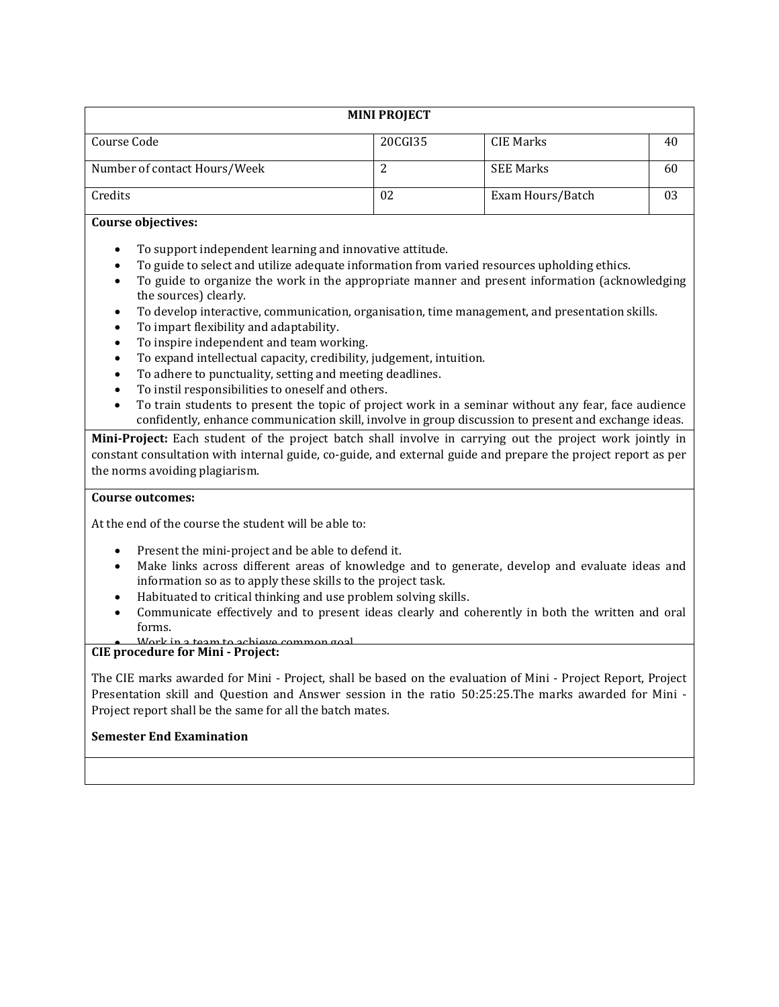| <b>MINI PROJECT</b>          |         |                  |    |  |  |
|------------------------------|---------|------------------|----|--|--|
| Course Code                  | 20CGI35 | CIE Marks        | 40 |  |  |
| Number of contact Hours/Week | ▵       | <b>SEE Marks</b> | 60 |  |  |
| Credits                      | 02      | Exam Hours/Batch | 03 |  |  |

## **Course objectives:**

- To support independent learning and innovative attitude.
- To guide to select and utilize adequate information from varied resources upholding ethics.
- To guide to organize the work in the appropriate manner and present information (acknowledging the sources) clearly.
- To develop interactive, communication, organisation, time management, and presentation skills.
- To impart flexibility and adaptability.
- To inspire independent and team working.
- To expand intellectual capacity, credibility, judgement, intuition.
- To adhere to punctuality, setting and meeting deadlines.
- To instil responsibilities to oneself and others.
- To train students to present the topic of project work in a seminar without any fear, face audience confidently, enhance communication skill, involve in group discussion to present and exchange ideas.

**Mini-Project:** Each student of the project batch shall involve in carrying out the project work jointly in constant consultation with internal guide, co-guide, and external guide and prepare the project report as per the norms avoiding plagiarism.

#### **Course outcomes:**

At the end of the course the student will be able to:

- Present the mini-project and be able to defend it.
- Make links across different areas of knowledge and to generate, develop and evaluate ideas and information so as to apply these skills to the project task.
- Habituated to critical thinking and use problem solving skills.
- Communicate effectively and to present ideas clearly and coherently in both the written and oral forms.

# **CIE** procedure for Mini - Project: <br>CIE procedure for Mini - Project:

The CIE marks awarded for Mini - Project, shall be based on the evaluation of Mini - Project Report, Project Presentation skill and Question and Answer session in the ratio 50:25:25.The marks awarded for Mini - Project report shall be the same for all the batch mates.

 $S_{\rm eff}$  marks for the mini-project shall be awarded based on the evaluation of  $P$ skill and Question and Answer session in the ratio 50:25:25 by the examiners appointed by the University.

#### **Semester End Examination**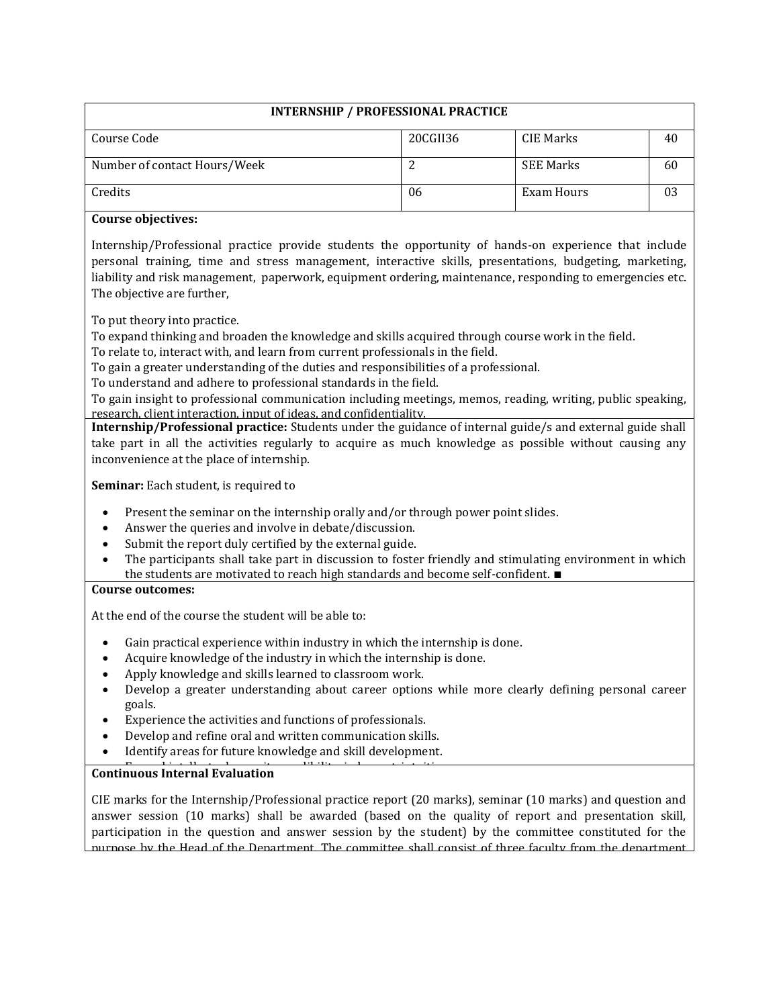# **INTERNSHIP / PROFESSIONAL PRACTICE**

| Course Code                  | 20CGII36 | CIE Marks        | 40 |
|------------------------------|----------|------------------|----|
|                              |          |                  |    |
| Number of contact Hours/Week |          | <b>SEE Marks</b> | 60 |
|                              |          |                  |    |
| Credits                      | 06       | Exam Hours       | 03 |
|                              |          |                  |    |
|                              |          |                  |    |

## **Course objectives:**

Internship/Professional practice provide students the opportunity of hands-on experience that include personal training, time and stress management, interactive skills, presentations, budgeting, marketing, liability and risk management, paperwork, equipment ordering, maintenance, responding to emergencies etc. The objective are further,

To put theory into practice.

To expand thinking and broaden the knowledge and skills acquired through course work in the field.

To relate to, interact with, and learn from current professionals in the field.

To gain a greater understanding of the duties and responsibilities of a professional.

To understand and adhere to professional standards in the field.

 To gain insight to professional communication including meetings, memos, reading, writing, public speaking, research, client interaction, input of ideas, and confidentiality.

**Internship/Professional practice:** Students under the guidance of internal guide/s and external guide shall take part in all the activities regularly to acquire as much knowledge as possible without causing any inconvenience at the place of internship.

**Seminar:** Each student, is required to

- Present the seminar on the internship orally and/or through power point slides.
- Answer the queries and involve in debate/discussion.
- Submit the report duly certified by the external guide.
- The participants shall take part in discussion to foster friendly and stimulating environment in which the students are motivated to reach high standards and become self-confident. ∎

#### **Course outcomes:**

At the end of the course the student will be able to:

- Gain practical experience within industry in which the internship is done.
- Acquire knowledge of the industry in which the internship is done.
- Apply knowledge and skills learned to classroom work.
- Develop a greater understanding about career options while more clearly defining personal career goals.
- Experience the activities and functions of professionals.
- Develop and refine oral and written communication skills.
- Identify areas for future knowledge and skill development.

#### **Continuous Internal Evaluation** Acquire the knowledge of administration, marketing, finance and economics. ∎

CIE marks for the Internship/Professional practice report (20 marks), seminar (10 marks) and question and answer session (10 marks) shall be awarded (based on the quality of report and presentation skill, participation in the question and answer session by the student) by the committee constituted for the purpose by the Head of the Department. The committee shall consist of three faculty from the department